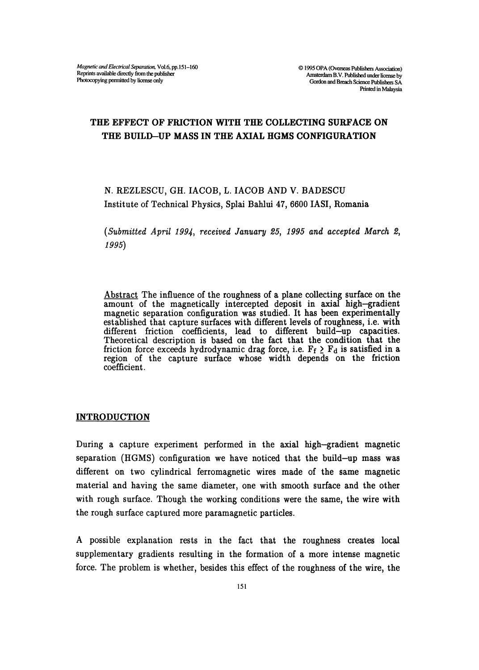# THE EFFECT OF FRICTION WITH THE COLLECTING SURFACE ON THE BUILD-UP MASS IN THE AXIAL HGMS CONFIGURATION

# N. REZLESCU, GH. IACOB, L. IACOB AND V. BADESCU Institute of Technical Physics, Splai Bahlui 47, 6600 IASI, Romania

 $(Submitted$  April 1994, received January 25, 1995 and accepted March 2, 1995)

Abstract The influence of the roughness of a plane collecting surface on the amount of the magnetically intercepted deposit in axial high-gradient magnetic separation configuration was studied. It has been experimentally established that capture surfaces with different levels of roughness, i.e. with different friction coefficients, lead to different build-up capacities. Theoretical description is based on the fact that the condition that the friction force exceeds hydrodynamic drag force, i.e.  $F_f \geq F_d$  is satisfied in a region of the capture surface whose width depends on the friction coefficient.

# **INTRODUCTION**

During a capture experiment performed in the axial high-gradient magnetic separation (HGMS) configuration we have noticed that the build-up mass was different on two cylindrical ferromagnetic wires made of the same magnetic material and having the same diameter, one with smooth surface and the other with rough surface. Though the working conditions were the same, the wire with the rough surface captured more paramagnetic particles.

A possible explanation rests in the fact that the roughness creates local supplementary gradients resulting in the formation of a more intense magnetic force. The problem is whether, besides this effect of the roughness of the wire, the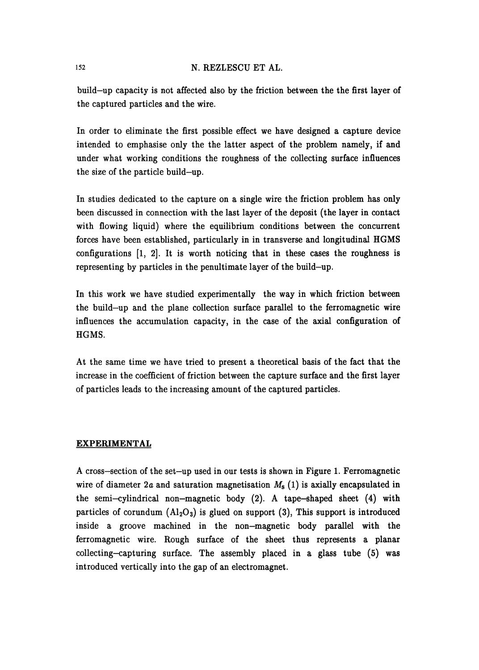build-up capacity is not affected also by the friction between the the first layer of the captured particles and the wire.

In order to eliminate the first possible effect we have designed a capture device intended to emphasise only the the latter aspect of the problem namely, if and under what working conditions the roughness of the collecting surface influences the size of the particle build-up.

In studies dedicated to the capture on a single wire the friction problem has only been discussed in connection with the last layer of the deposit (the layer in contact with flowing liquid) where the equilibrium conditions between the concurrent forces have been established, particularly in in transverse and longitudinal HGMS configurations [1, 2]. It is worth noticing that in these cases the roughness is representing by particles in the penultimate layer of the build-up.

In this work we have studied experimentally the way in which friction between the build-up and the plane collection surface parallel to the ferromagnetic wire influences the accumulation capacity, in the case of the axial configuration of HGMS.

At the same time we have tried to present a theoretical basis of the fact that the increase in the coefficient of friction between the capture surface and the first layer of particles leads to the increasing amount of the captured particles.

### EXPERIMENTAL

A cross-section of the set-up used in our tests is shown in Figure 1. Ferromagnetic wire of diameter 2a and saturation magnetisation  $M_s$  (1) is axially encapsulated in the semi-cylindrical non-magnetic body (2). A tape-shaped sheet (4) with particles of corundum  $(Al_2O_3)$  is glued on support (3), This support is introduced inside a groove machined in the non-magnetic body parallel with the ferromagnetic wire. Rough surface of the sheet thus represents a planar  $collecting-capturing surface. The assembly placed in a glass tube (5) was$ introduced vertically into the gap of an electromagnet.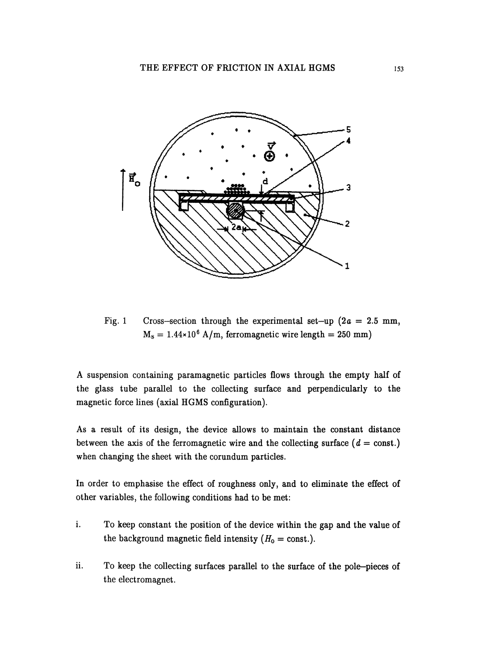

Fig. 1 Cross-section through the experimental set-up  $(2a = 2.5 \text{ mm})$ ,  $M_s = 1.44 \times 10^6$  A/m, ferromagnetic wire length = 250 mm)

A suspension containing paramagnetic particles flows through the empty half of the glass tube parallel to the collecting surface and perpendicularly to the magnetic force lines (axial HGMS configuration).

As a result of its design, the device allows to maintain the constant distance between the axis of the ferromagnetic wire and the collecting surface ( $d = \text{const.}$ ) when changing the sheet with the corundum particles.

In order to emphasise the effect of roughness only, and to eliminate the effect of other variables, the following conditions had to be met:

- i. To keep constant the position of the device within the gap and the value of the background magnetic field intensity  $(H_0 = \text{const.})$ .
- ii. To keep the collecting surfaces parallel to the surface of the pole-pieces of the electromagnet.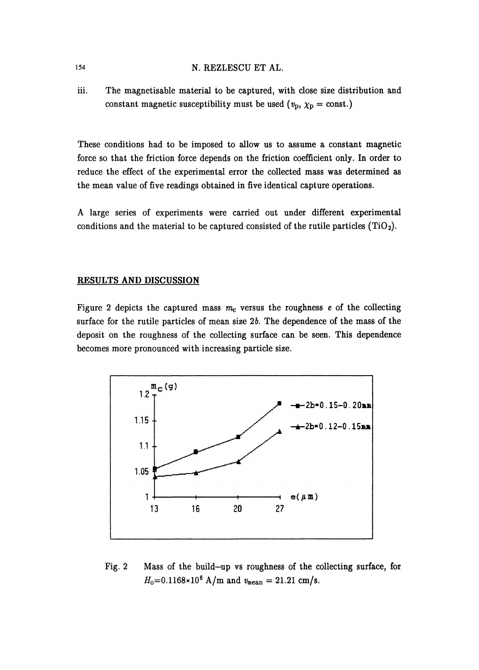iii. The magnetisable material to be captured, with close size distribution and constant magnetic susceptibility must be used  $(v_p, \chi_p = \text{const.})$ 

These conditions had to be imposed to allow us to assume a constant magnetic force so that the friction force depends on the friction coefficient only. In order to reduce the effect of the experimental error the collected mass was determined as the mean value of five readings obtained in five identical capture operations.

A large series of experiments were carried out under different experimental conditions and the material to be captured consisted of the rutile particles  $(TiO<sub>2</sub>)$ .

### RESULTS AND DISCUSSION

Figure 2 depicts the captured mass  $m_c$  versus the roughness  $e$  of the collecting surface for the rutile particles of mean size  $2b$ . The dependence of the mass of the deposit on the roughness of the collecting surface can be seen. This dependence becomes more pronounced with increasing particle size.



Fig. 2 Mass of the build-up vs roughness of the collecting surface, for  $H_0=0.1168\times10^6$  A/m and  $v_{\text{mean}}=21.21$  cm/s.

154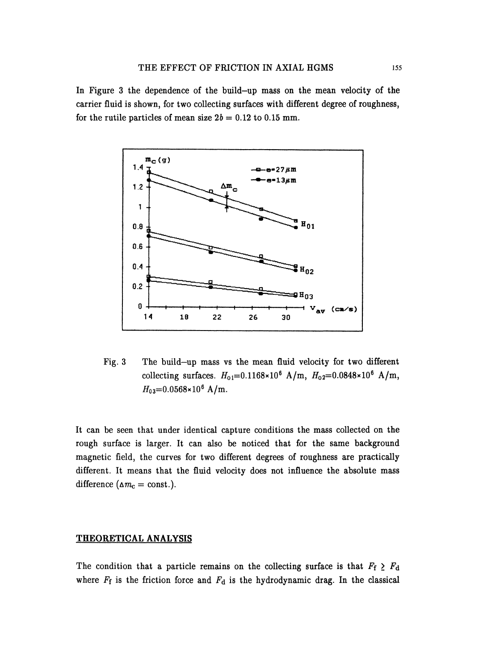#### THE EFFECT OF FRICTION IN AXIAL HGMS 155

In Figure 3 the dependence of the build-up mass on the mean velocity of the carrier fluid is shown, for two collecting surfaces with different degree of roughness, for the rutile particles of mean size  $2b = 0.12$  to 0.15 mm.



Fig. 3 The build-up mass vs the mean fluid velocity for two different collecting surfaces.  $H_{01} = 0.1168 \times 10^{6} \text{ A/m}$ ,  $H_{02} = 0.0848 \times 10^{6} \text{ A/m}$ ,  $H_{03}$ =0.0568×10<sup>6</sup> A/m.

It can be seen that under identical capture conditions the mass collected on the rough surface is larger. It can also be noticed that for the same background magnetic field, the curves for two different degrees of roughness are practically different. It means that the fluid velocity does not influence the absolute mass difference ( $\Delta m_c = \text{const.}$ ).

#### THEORETICAL ANALYSIS

The condition that a particle remains on the collecting surface is that  $F_f \geq F_d$ where  $F_f$  is the friction force and  $F_d$  is the hydrodynamic drag. In the classical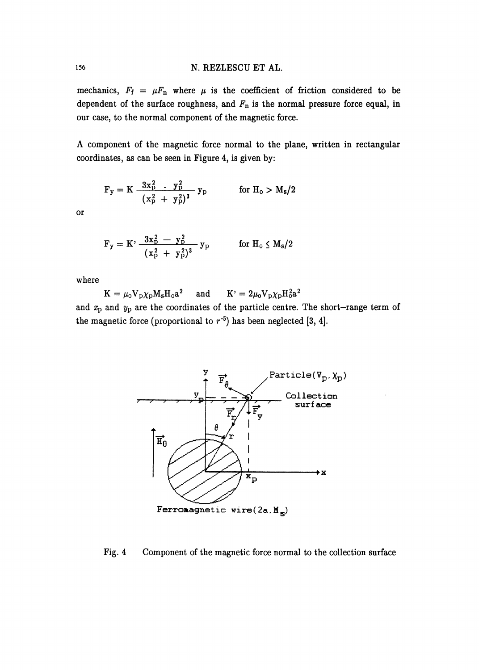mechanics,  $F_f = \mu F_n$  where  $\mu$  is the coefficient of friction considered to be dependent of the surface roughness, and  $F_n$  is the normal pressure force equal, in our case, to the normal component of the magnetic force.

A component of the magnetic force normal to the plane, written in rectangular coordinates, as can be seen in Figure 4, is given by:

$$
F_y = K \frac{3x_p^2}{(x_p^2 + y_p^2)^3} y_p \qquad \text{for } H_0 > M_s/2
$$

or

$$
F_y = K' \frac{3x_p^2 - y_p^2}{(x_p^2 + y_p^2)^3} y_p
$$
 for  $H_0 \le M_s/2$ 

where

 $\mathbf{K} = \mu_0 \mathbf{V}_\mathrm{p} \chi_\mathrm{p} \mathbf{M}_\mathrm{s} \mathbf{H}_\mathrm{o} \mathbf{a}^2$  and  $\mathbf{K'} = 2\mu_0 \mathbf{V}_\mathrm{p} \chi_\mathrm{p} \mathbf{H}_\mathrm{o}^2 \mathbf{a}^2$ and  $x_p$  and  $y_p$  are the coordinates of the particle centre. The short-range term of the magnetic force (proportional to  $r^{-5}$ ) has been neglected [3, 4].



#### Fig. 4 Component of the magnetic force normal to the collection surface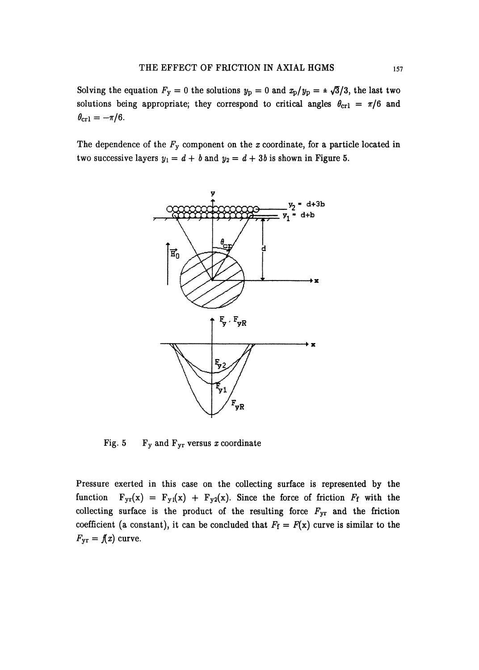Solving the equation  $F_y = 0$  the solutions  $y_p = 0$  and  $x_p/y_p = \pm \sqrt{3}/3$ , the last two solutions being appropriate; they correspond to critical angles  $\theta_{\rm cr1} = \pi/6$  and  $\theta_{\rm cr1} = -\pi/6.$ 

The dependence of the  $F_y$  component on the x coordinate, for a particle located in two successive layers  $y_1 = d + b$  and  $y_2 = d + 3b$  is shown in Figure 5.



Fig. 5 Fy and  $F_{yr}$  versus x coordinate

Pressure exerted in this case on the collecting surface is represented by the function  $F_{yr}(x) = F_{y1}(x) + F_{y2}(x)$ . Since the force of friction  $F_f$  with the collecting surface is the product of the resulting force  $F_{yr}$  and the friction coefficient (a constant), it can be concluded that  $F_f = F(x)$  curve is similar to the  $F_{\text{yr}} = \textit{f}(x)$  curve.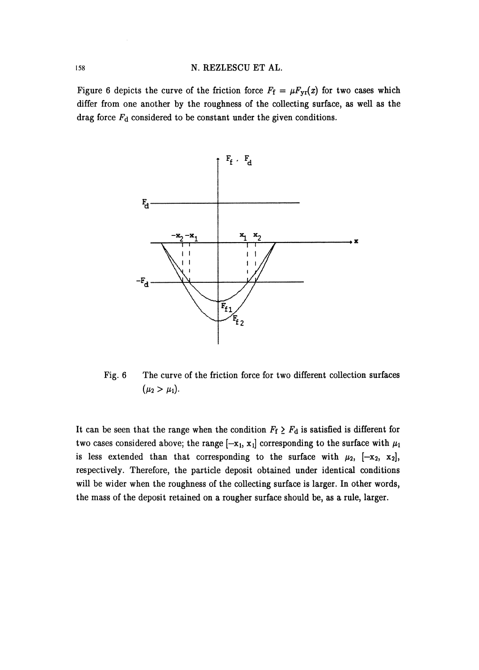Figure 6 depicts the curve of the friction force  $F_f = \mu F_{yr}(x)$  for two cases which differ from one another by the roughness of the collecting surface, as well as the drag force  $F_d$  considered to be constant under the given conditions.



Fig. 6 The curve of the friction force for two different collection surfaces  $(\mu_2 > \mu_1).$ 

It can be seen that the range when the condition  $F_f \geq F_d$  is satisfied is different for two cases considered above; the range  $[-x_1, x_1]$  corresponding to the surface with  $\mu_1$ is less extended than that corresponding to the surface with  $\mu_2$ ,  $[-x_2, x_2]$ , respectively. Therefore, the particle deposit obtained under identical conditions will be wider when the roughness of the collecting surface is larger. In other words, the mass of the deposit retained on a rougher surface should be, as a rule, larger.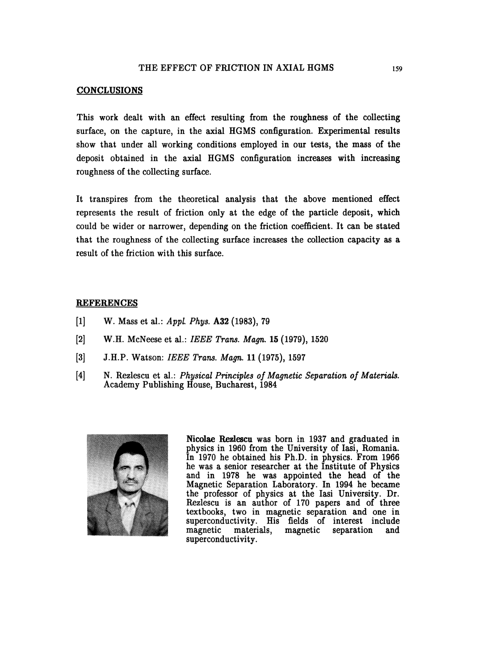## THE EFFECT OF FRICTION IN AXIAL HGMS

#### CONCLUSIONS

This work dealt with an effect resulting from the roughness of the collecting surface, on the capture, in the axial HGMS configuration. Experimental results show that under all working conditions employed in our tests, the mass of the deposit obtained in the axial HGMS configuration increases with increasing roughness of the collecting surface.

It transpires from the theoretical analysis that the above mentioned effect represents the result of friction only at the edge of the particle deposit, which could be wider or narrower, depending on the friction coefficient. It can be stated that the roughness of the collecting surface increases the collection capacity as a result of the friction with this surface.

#### **REFERENCES**

- [1] W. Mass et al.: Appl. Phys. A32 (1983), 79
- [2] W.H. McNeese et al.: IEEE Trans. Magn. 15 (1979), 1520
- [3] J.H.P. Watson: IEEE Trans. Magn. <sup>11</sup> (1975), 1597
- [4] N. Rezlescu et al.: Physical Principles of Magnetic Separation of Materials. Academy Publishing House, Bucharest, 1984



Nicolae Rezlescu was born in 1937 and graduated in physics in 1960 from the University of Iasi, Romania. In 1970 he obtained his Ph.D. in physics. From 1966 he was a senior researcher at the Institute of Physics and in 1978 he was appointed the head of the Magnetic Separation Laboratory. In 1994 he became the professor of physics at the Iasi University. Dr. Rezlescu is an author of 170 papers and of three textbooks, two in magnetic separation and one in superconductivity. His fields of interest include magnetic materials, magnetic separation and magnetic materials, magnetic separation and superconductivity.